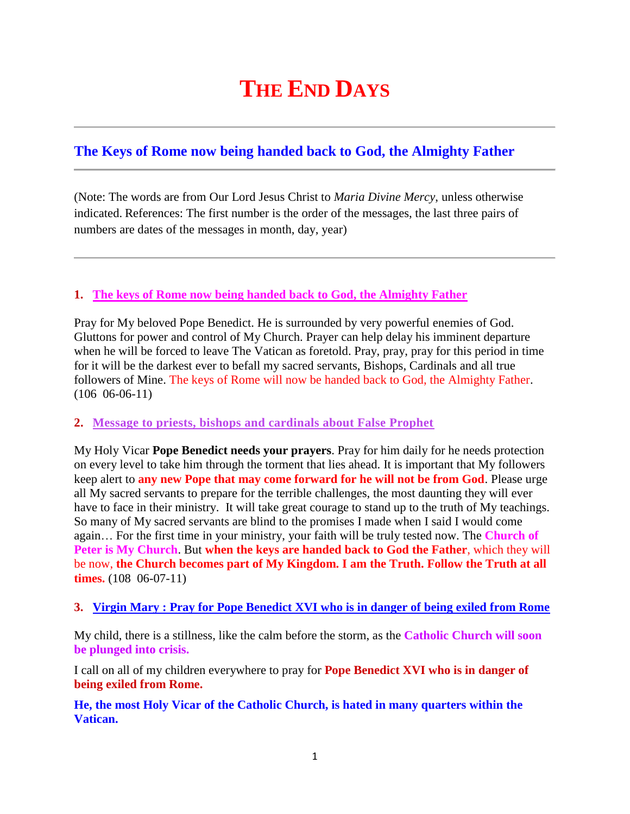# **THE END DAYS**

# **[The Keys of Rome now being handed back to God, the Almighty Father](http://www.thewarningsecondcoming.com/the-keys-of-rome-now-being-handed-back-to-god-the-almighty-father/)**

(Note: The words are from Our Lord Jesus Christ to *Maria Divine Mercy*, unless otherwise indicated. References: The first number is the order of the messages, the last three pairs of numbers are dates of the messages in month, day, year)

## **1. [The keys of Rome now being handed back to God, the Almighty Father](http://www.thewarningsecondcoming.com/the-keys-of-rome-now-being-handed-back-to-god-the-almighty-father/)**

Pray for My beloved Pope Benedict. He is surrounded by very powerful enemies of God. Gluttons for power and control of My Church. Prayer can help delay his imminent departure when he will be forced to leave The Vatican as foretold. Pray, pray, pray for this period in time for it will be the darkest ever to befall my sacred servants, Bishops, Cardinals and all true followers of Mine. The keys of Rome will now be handed back to God, the Almighty Father. (106 06-06-11)

#### **2. [Message to priests, bishops and cardinals about False Prophet](http://www.thewarningsecondcoming.com/message-to-priests-bishops-and-cardinals-about-false-prophet/)**

My Holy Vicar **Pope Benedict needs your prayers**. Pray for him daily for he needs protection on every level to take him through the torment that lies ahead. It is important that My followers keep alert to **any new Pope that may come forward for he will not be from God**. Please urge all My sacred servants to prepare for the terrible challenges, the most daunting they will ever have to face in their ministry. It will take great courage to stand up to the truth of My teachings. So many of My sacred servants are blind to the promises I made when I said I would come again… For the first time in your ministry, your faith will be truly tested now. The **Church of Peter is My Church**. But **when the keys are handed back to God the Father**, which they will be now, **the Church becomes part of My Kingdom. I am the Truth. Follow the Truth at all times.** (108 06-07-11)

#### **3. [Virgin Mary : Pray for Pope Benedict XVI who is in danger of being exiled from Rome](http://www.thewarningsecondcoming.com/virgin-mary-pray-for-pope-benedict-xvi-who-is-in-danger-of-being-exiled-from-rome/)**

My child, there is a stillness, like the calm before the storm, as the **Catholic Church will soon be plunged into crisis.**

I call on all of my children everywhere to pray for **Pope Benedict XVI who is in danger of being exiled from Rome.**

**He, the most Holy Vicar of the Catholic Church, is hated in many quarters within the Vatican.**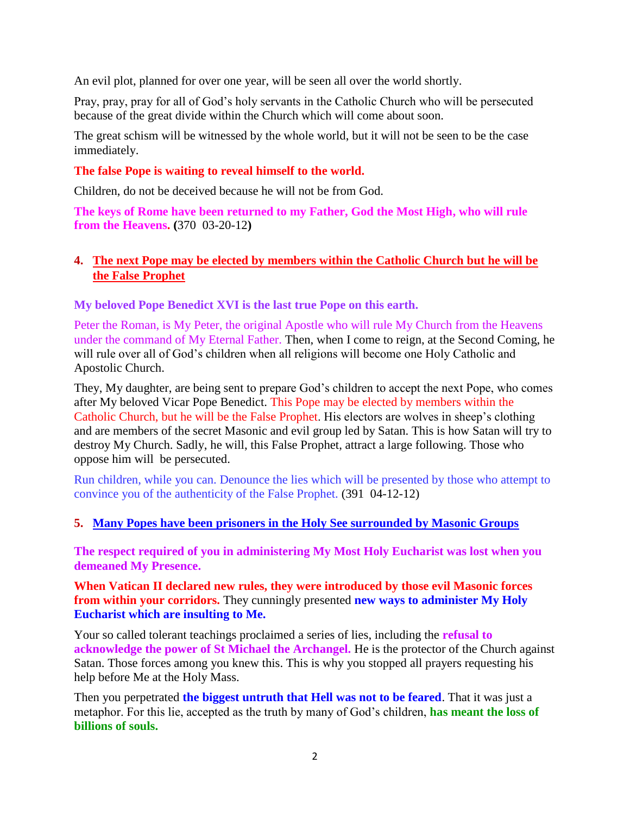An evil plot, planned for over one year, will be seen all over the world shortly.

Pray, pray, pray for all of God's holy servants in the Catholic Church who will be persecuted because of the great divide within the Church which will come about soon.

The great schism will be witnessed by the whole world, but it will not be seen to be the case immediately.

#### **The false Pope is waiting to reveal himself to the world.**

Children, do not be deceived because he will not be from God.

**The keys of Rome have been returned to my Father, God the Most High, who will rule from the Heavens. (**370 03-20-12**)**

#### **4. [The next Pope may be elected by members within the Catholic Church but he will be](http://www.thewarningsecondcoming.com/the-next-pope-may-be-elected-by-members-within-the-catholic-church-but-he-will-be-the-false-prophet/)  [the False Prophet](http://www.thewarningsecondcoming.com/the-next-pope-may-be-elected-by-members-within-the-catholic-church-but-he-will-be-the-false-prophet/)**

**My beloved Pope Benedict XVI is the last true Pope on this earth.**

Peter the Roman, is My Peter, the original Apostle who will rule My Church from the Heavens under the command of My Eternal Father. Then, when I come to reign, at the Second Coming, he will rule over all of God's children when all religions will become one Holy Catholic and Apostolic Church.

They, My daughter, are being sent to prepare God's children to accept the next Pope, who comes after My beloved Vicar Pope Benedict. This Pope may be elected by members within the Catholic Church, but he will be the False Prophet. His electors are wolves in sheep's clothing and are members of the secret Masonic and evil group led by Satan. This is how Satan will try to destroy My Church. Sadly, he will, this False Prophet, attract a large following. Those who oppose him will be persecuted.

Run children, while you can. Denounce the lies which will be presented by those who attempt to convince you of the authenticity of the False Prophet. (391 04-12-12)

#### **5. [Many Popes have been prisoners in the Holy See surrounded by Masonic Groups](http://www.thewarningsecondcoming.com/many-popes-have-been-prisoners-in-the-holy-see-surrounded-by-masonic-groups/)**

**The respect required of you in administering My Most Holy Eucharist was lost when you demeaned My Presence.**

**When Vatican II declared new rules, they were introduced by those evil Masonic forces from within your corridors.** They cunningly presented **new ways to administer My Holy Eucharist which are insulting to Me.**

Your so called tolerant teachings proclaimed a series of lies, including the **refusal to acknowledge the power of St Michael the Archangel.** He is the protector of the Church against Satan. Those forces among you knew this. This is why you stopped all prayers requesting his help before Me at the Holy Mass.

Then you perpetrated **the biggest untruth that Hell was not to be feared**. That it was just a metaphor. For this lie, accepted as the truth by many of God's children, **has meant the loss of billions of souls.**